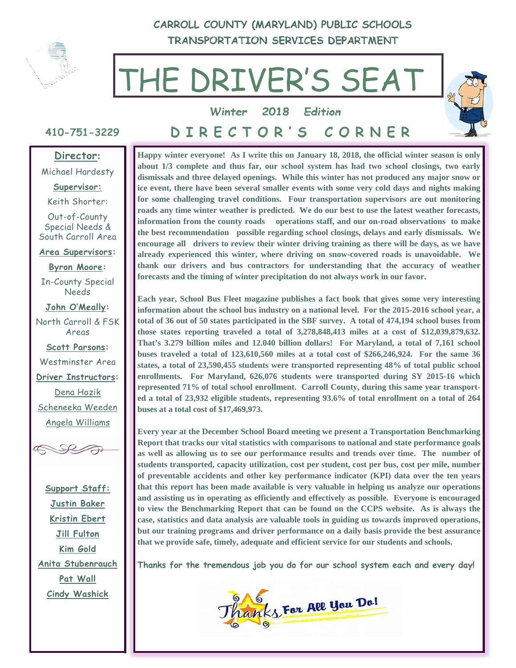

**CARROLL COUNTY (MARYLAND) PUBLIC SCHOOLS TRANSPORTATION SERVICES DEPARTMENT** 

# THE DRIVER'S SEAT



**Winter 2018 Edition**

# **410-751-3229**

**DIRECTOR'S CORNER** 

#### **Director:**

Michael Hardesty

**Supervisor:** 

Keith Shorter:

Out-of-County Special Needs & South Carroll Area

**Area Supervisors:** 

**Byron Moore:** In-County Special Needs

**John O'Meally:**

North Carroll & FSK Areas

**Scott Parsons:**  Westminster Area

**Driver Instructors:** 

Dena Hozik Scheneeka Weeden Angela Williams



**Support Staff: Justin Baker Kristin Ebert Jill Fulton Kim Gold Anita Stubenrauch Pat Wall Cindy Washick** 

**Happy winter everyone! As I write this on January 18, 2018, the official winter season is only about 1/3 complete and thus far, our school system has had two school closings, two early dismissals and three delayed openings. While this winter has not produced any major snow or ice event, there have been several smaller events with some very cold days and nights making for some challenging travel conditions. Four transportation supervisors are out monitoring roads any time winter weather is predicted. We do our best to use the latest weather forecasts, information from the county roads operations staff, and our on-road observations to make the best recommendation possible regarding school closings, delays and early dismissals. We encourage all drivers to review their winter driving training as there will be days, as we have already experienced this winter, where driving on snow-covered roads is unavoidable. We thank our drivers and bus contractors for understanding that the accuracy of weather forecasts and the timing of winter precipitation do not always work in our favor.** 

**Each year, School Bus Fleet magazine publishes a fact book that gives some very interesting information about the school bus industry on a national level. For the 2015-2016 school year, a total of 36 out of 50 states participated in the SBF survey. A total of 474,194 school buses from those states reporting traveled a total of 3,278,848,413 miles at a cost of \$12,039,879,632. That's 3.279 billion miles and 12.040 billion dollars! For Maryland, a total of 7,161 school buses traveled a total of 123,610,560 miles at a total cost of \$266,246,924. For the same 36 states, a total of 23,590,455 students were transported representing 48% of total public school enrollments. For Maryland, 626,076 students were transported during SY 2015-16 which represented 71% of total school enrollment. Carroll County, during this same year transported a total of 23,932 eligible students, representing 93.6% of total enrollment on a total of 264 buses at a total cost of \$17,469,973.** 

**Every year at the December School Board meeting we present a Transportation Benchmarking Report that tracks our vital statistics with comparisons to national and state performance goals as well as allowing us to see our performance results and trends over time. The number of students transported, capacity utilization, cost per student, cost per bus, cost per mile, number of preventable accidents and other key performance indicator (KPI) data over the ten years that this report has been made available is very valuable in helping us analyze our operations and assisting us in operating as efficiently and effectively as possible. Everyone is encouraged to view the Benchmarking Report that can be found on the CCPS website. As is always the case, statistics and data analysis are valuable tools in guiding us towards improved operations, but our training programs and driver performance on a daily basis provide the best assurance that we provide safe, timely, adequate and efficient service for our students and schools.** 

**Thanks for the tremendous job you do for our school system each and every day!** 

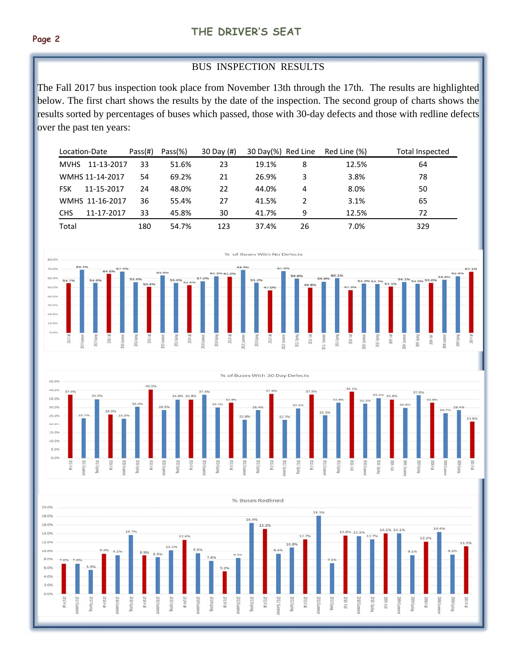#### BUS INSPECTION RESULTS

The Fall 2017 bus inspection took place from November 13th through the 17th. The results are highlighted below. The first chart shows the results by the date of the inspection. The second group of charts shows the results sorted by percentages of buses which passed, those with 30-day defects and those with redline defects over the past ten years:

| Location-Date |                 | Pass(H) | Pass(%) | 30 Day $(#)$ | 30 Day(%) Red Line |    | Red Line (%) | Total Inspected |
|---------------|-----------------|---------|---------|--------------|--------------------|----|--------------|-----------------|
| <b>MVHS</b>   | 11-13-2017      | 33      | 51.6%   | 23           | 19.1%              | 8  | 12.5%        | 64              |
|               | WMHS 11-14-2017 | 54      | 69.2%   | 21           | 26.9%              | 3  | 3.8%         | 78              |
| <b>FSK</b>    | 11-15-2017      | 24      | 48.0%   | 22           | 44.0%              | 4  | 8.0%         | 50              |
|               | WMHS 11-16-2017 | 36      | 55.4%   | 27           | 41.5%              |    | 3.1%         | 65              |
| <b>CHS</b>    | 11-17-2017      | 33      | 45.8%   | 30           | 41.7%              | 9  | 12.5%        | 72              |
| Total         |                 | 180     | 54.7%   | 123          | 37.4%              | 26 | 7.0%         | 329             |





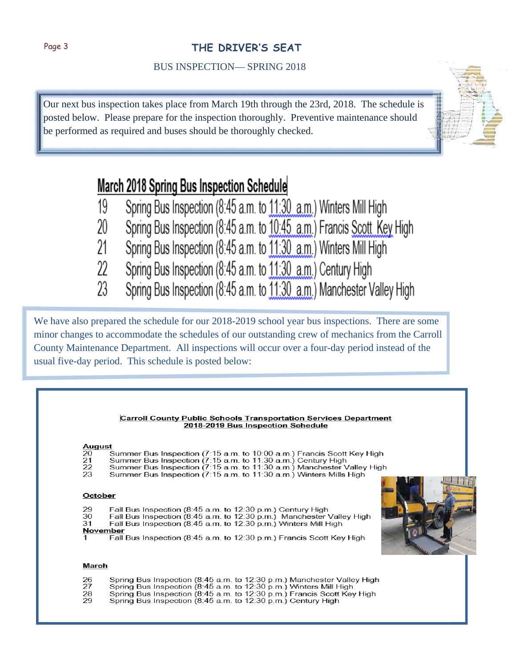# Page 3 **THE DRIVER'S SEAT**

BUS INSPECTION— SPRING 2018

Our next bus inspection takes place from March 19th through the 23rd, 2018. The schedule is posted below. Please prepare for the inspection thoroughly. Preventive maintenance should be performed as required and buses should be thoroughly checked.

# March 2018 Spring Bus Inspection Schedule

- Spring Bus Inspection (8:45 a.m. to 11:30 a.m.) Winters Mill High 19
- Spring Bus Inspection (8:45 a.m. to 10:45 a.m.) Francis Scott Key High 20
- Spring Bus Inspection (8:45 a.m. to 11:30 a.m.) Winters Mill High 21
- 22 Spring Bus Inspection (8:45 a.m. to 11:30 a.m.) Century High
- 23 Spring Bus Inspection (8:45 a.m. to 11:30 a.m.) Manchester Valley High

We have also prepared the schedule for our 2018-2019 school year bus inspections. There are some minor changes to accommodate the schedules of our outstanding crew of mechanics from the Carroll County Maintenance Department. All inspections will occur over a four-day period instead of the usual five-day period. This schedule is posted below:

#### **Carroll County Public Schools Transportation Services Department** 2018-2019 Bus Inspection Schedule August<br>20 Summer Bus Inspection (7:15 a.m. to 10:00 a.m.) Francis Scott Key High<br>Summer Bus Inspection (7:15 a.m. to 11:30 a.m.) Century High<br>Summer Bus Inspection (7:15 a.m. to 11:30 a.m.) Manchester Valley High  $\frac{21}{22}$  $23$ Summer Bus Inspection (7:15 a.m. to 11:30 a.m.) Winters Mills High October Fall Bus Inspection (8:45 a.m. to 12:30 p.m.) Century High<br>Fall Bus Inspection (8:45 a.m. to 12:30 p.m.) Manchester Valley High 29 30 31 Fall Bus Inspection (8:45 a.m. to 12:30 p.m.) Winters Mill High November Fall Bus Inspection (8:45 a.m. to 12:30 p.m.) Francis Scott Key High March Spring Bus Inspection (8:45 a.m. to 12:30 p.m.) Manchester Valley High<br>Spring Bus Inspection (8:45 a.m. to 12:30 p.m.) Winters Mill High<br>Spring Bus Inspection (8:45 a.m. to 12:30 p.m.) Francis Scott Key High<br>Spring Bus Ins  $\frac{26}{27}$  $\frac{28}{29}$

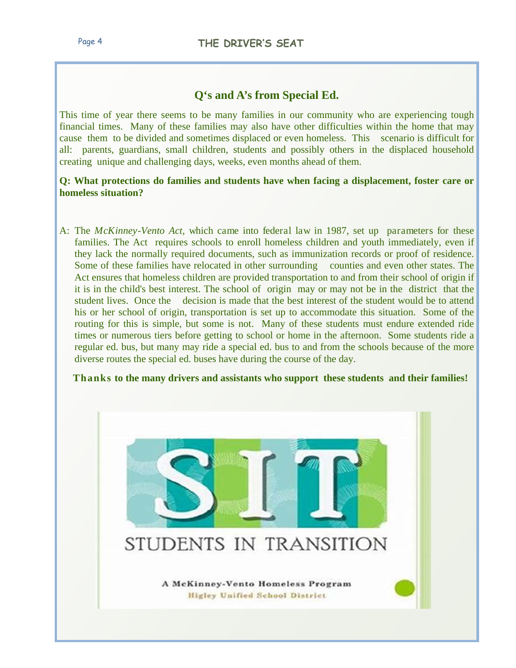# **Q's and A's from Special Ed.**

This time of year there seems to be many families in our community who are experiencing tough financial times. Many of these families may also have other difficulties within the home that may cause them to be divided and sometimes displaced or even homeless. This scenario is difficult for all: parents, guardians, small children, students and possibly others in the displaced household creating unique and challenging days, weeks, even months ahead of them.

**Q: What protections do families and students have when facing a displacement, foster care or homeless situation?** 

A: The *McKinney-Vento Act,* which came into federal law in 1987, set up parameters for these families. The Act requires schools to enroll homeless children and youth immediately, even if they lack the normally required documents, such as immunization records or proof of residence. Some of these families have relocated in other surrounding counties and even other states. The Act ensures that homeless children are provided transportation to and from their school of origin if it is in the child's best interest. The school of origin may or may not be in the district that the student lives. Once the decision is made that the best interest of the student would be to attend his or her school of origin, transportation is set up to accommodate this situation. Some of the routing for this is simple, but some is not. Many of these students must endure extended ride times or numerous tiers before getting to school or home in the afternoon. Some students ride a regular ed. bus, but many may ride a special ed. bus to and from the schools because of the more diverse routes the special ed. buses have during the course of the day.

 **Thanks to the many drivers and assistants who support these students and their families!** 

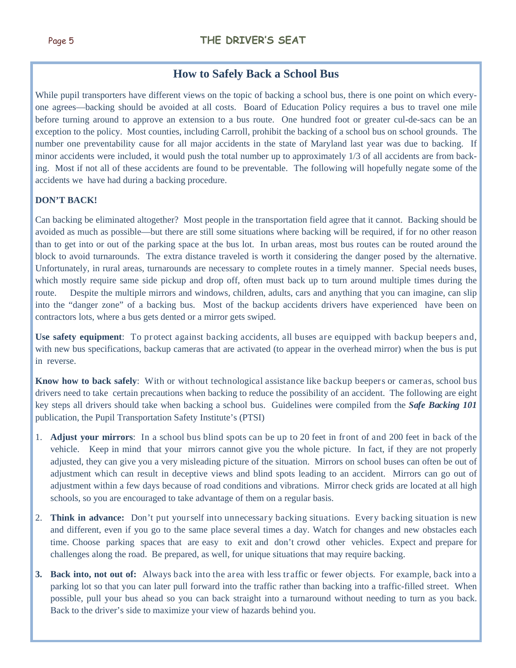# **How to Safely Back a School Bus**

While pupil transporters have different views on the topic of backing a school bus, there is one point on which everyone agrees—backing should be avoided at all costs. Board of Education Policy requires a bus to travel one mile before turning around to approve an extension to a bus route. One hundred foot or greater cul-de-sacs can be an exception to the policy. Most counties, including Carroll, prohibit the backing of a school bus on school grounds. The number one preventability cause for all major accidents in the state of Maryland last year was due to backing. If minor accidents were included, it would push the total number up to approximately 1/3 of all accidents are from backing. Most if not all of these accidents are found to be preventable. The following will hopefully negate some of the accidents we have had during a backing procedure.

#### **DON'T BACK!**

Can backing be eliminated altogether? Most people in the transportation field agree that it cannot. Backing should be avoided as much as possible—but there are still some situations where backing will be required, if for no other reason than to get into or out of the parking space at the bus lot. In urban areas, most bus routes can be routed around the block to avoid turnarounds. The extra distance traveled is worth it considering the danger posed by the alternative. Unfortunately, in rural areas, turnarounds are necessary to complete routes in a timely manner. Special needs buses, which mostly require same side pickup and drop off, often must back up to turn around multiple times during the route. Despite the multiple mirrors and windows, children, adults, cars and anything that you can imagine, can slip into the "danger zone" of a backing bus. Most of the backup accidents drivers have experienced have been on contractors lots, where a bus gets dented or a mirror gets swiped.

**Use safety equipment**: To protect against backing accidents, all buses are equipped with backup beepers and, with new bus specifications, backup cameras that are activated (to appear in the overhead mirror) when the bus is put in reverse.

**Know how to back safely**: With or without technological assistance like backup beepers or cameras, school bus drivers need to take certain precautions when backing to reduce the possibility of an accident. The following are eight key steps all drivers should take when backing a school bus. Guidelines were compiled from the *Safe Backing 101* publication, the Pupil Transportation Safety Institute's (PTSI)

- 1. **Adjust your mirrors**: In a school bus blind spots can be up to 20 feet in front of and 200 feet in back of the vehicle. Keep in mind that your mirrors cannot give you the whole picture. In fact, if they are not properly adjusted, they can give you a very misleading picture of the situation. Mirrors on school buses can often be out of adjustment which can result in deceptive views and blind spots leading to an accident. Mirrors can go out of adjustment within a few days because of road conditions and vibrations. Mirror check grids are located at all high schools, so you are encouraged to take advantage of them on a regular basis.
- 2. **Think in advance:** Don't put yourself into unnecessary backing situations. Every backing situation is new and different, even if you go to the same place several times a day. Watch for changes and new obstacles each time. Choose parking spaces that are easy to exit and don't crowd other vehicles. Expect and prepare for challenges along the road. Be prepared, as well, for unique situations that may require backing.
- **3. Back into, not out of:** Always back into the area with less traffic or fewer objects. For example, back into a parking lot so that you can later pull forward into the traffic rather than backing into a traffic-filled street. When possible, pull your bus ahead so you can back straight into a turnaround without needing to turn as you back. Back to the driver's side to maximize your view of hazards behind you.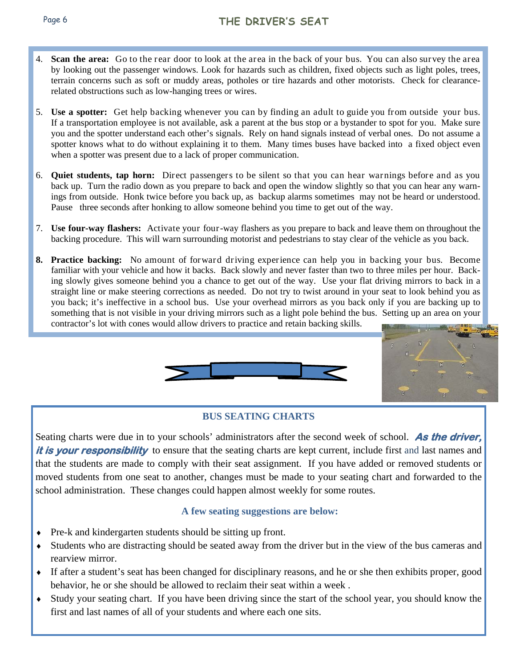- 4. **Scan the area:** Go to the rear door to look at the area in the back of your bus. You can also survey the area by looking out the passenger windows. Look for hazards such as children, fixed objects such as light poles, trees, terrain concerns such as soft or muddy areas, potholes or tire hazards and other motorists. Check for clearancerelated obstructions such as low-hanging trees or wires.
- 5. **Use a spotter:** Get help backing whenever you can by finding an adult to guide you from outside your bus. If a transportation employee is not available, ask a parent at the bus stop or a bystander to spot for you. Make sure you and the spotter understand each other's signals. Rely on hand signals instead of verbal ones. Do not assume a spotter knows what to do without explaining it to them. Many times buses have backed into a fixed object even when a spotter was present due to a lack of proper communication.
- 6. **Quiet students, tap horn:** Direct passengers to be silent so that you can hear warnings before and as you back up. Turn the radio down as you prepare to back and open the window slightly so that you can hear any warnings from outside. Honk twice before you back up, as backup alarms sometimes may not be heard or understood. Pause three seconds after honking to allow someone behind you time to get out of the way.
- 7. **Use four-way flashers:** Activate your four-way flashers as you prepare to back and leave them on throughout the backing procedure. This will warn surrounding motorist and pedestrians to stay clear of the vehicle as you back.
- **8. Practice backing:** No amount of forward driving experience can help you in backing your bus. Become familiar with your vehicle and how it backs. Back slowly and never faster than two to three miles per hour. Backing slowly gives someone behind you a chance to get out of the way. Use your flat driving mirrors to back in a straight line or make steering corrections as needed. Do not try to twist around in your seat to look behind you as you back; it's ineffective in a school bus. Use your overhead mirrors as you back only if you are backing up to something that is not visible in your driving mirrors such as a light pole behind the bus. Setting up an area on your contractor's lot with cones would allow drivers to practice and retain backing skills.





#### **BUS SEATING CHARTS**

Seating charts were due in to your schools' administrators after the second week of school. **As the driver,**  *it is your responsibility* to ensure that the seating charts are kept current, include first and last names and that the students are made to comply with their seat assignment. If you have added or removed students or moved students from one seat to another, changes must be made to your seating chart and forwarded to the school administration. These changes could happen almost weekly for some routes.

#### **A few seating suggestions are below:**

- Pre-k and kindergarten students should be sitting up front.
- Students who are distracting should be seated away from the driver but in the view of the bus cameras and rearview mirror.
- If after a student's seat has been changed for disciplinary reasons, and he or she then exhibits proper, good behavior, he or she should be allowed to reclaim their seat within a week .
- Study your seating chart. If you have been driving since the start of the school year, you should know the first and last names of all of your students and where each one sits.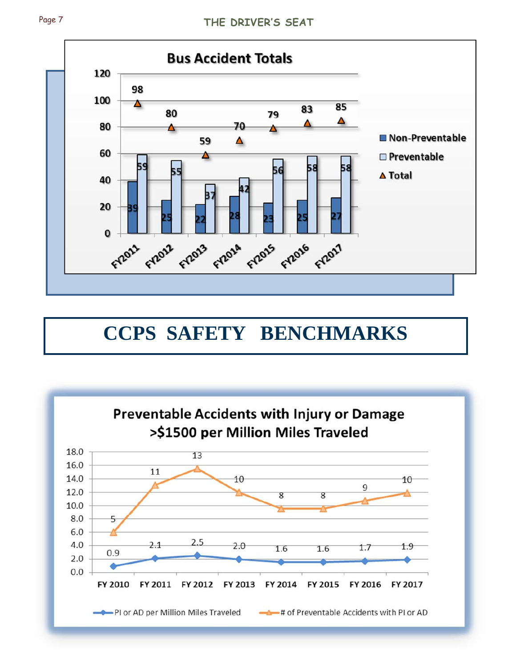

# **CCPS SAFETY BENCHMARKS**

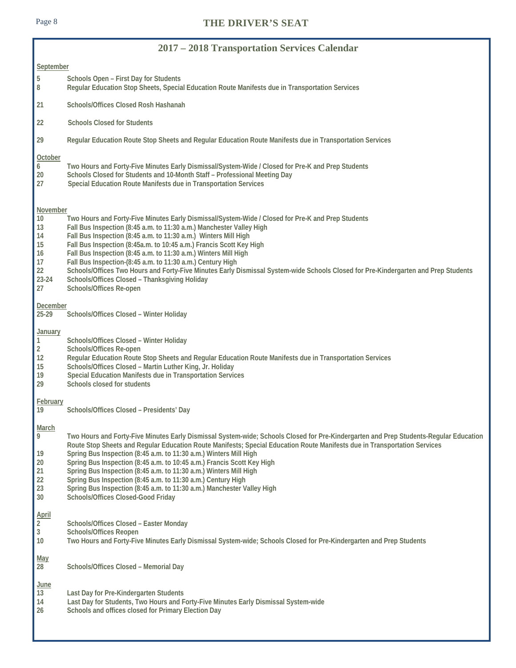## Page 8 **THE DRIVER'S SEAT**

| 2017 – 2018 Transportation Services Calendar                             |                                                                                                                                                                                                                                                                                                                                                                                                                                                                                                                                                                                                                                                                        |  |  |  |  |  |
|--------------------------------------------------------------------------|------------------------------------------------------------------------------------------------------------------------------------------------------------------------------------------------------------------------------------------------------------------------------------------------------------------------------------------------------------------------------------------------------------------------------------------------------------------------------------------------------------------------------------------------------------------------------------------------------------------------------------------------------------------------|--|--|--|--|--|
| September                                                                |                                                                                                                                                                                                                                                                                                                                                                                                                                                                                                                                                                                                                                                                        |  |  |  |  |  |
| 5<br>8                                                                   | Schools Open - First Day for Students<br>Regular Education Stop Sheets, Special Education Route Manifests due in Transportation Services                                                                                                                                                                                                                                                                                                                                                                                                                                                                                                                               |  |  |  |  |  |
| 21                                                                       | Schools/Offices Closed Rosh Hashanah                                                                                                                                                                                                                                                                                                                                                                                                                                                                                                                                                                                                                                   |  |  |  |  |  |
| 22                                                                       | <b>Schools Closed for Students</b>                                                                                                                                                                                                                                                                                                                                                                                                                                                                                                                                                                                                                                     |  |  |  |  |  |
| 29                                                                       | Regular Education Route Stop Sheets and Regular Education Route Manifests due in Transportation Services                                                                                                                                                                                                                                                                                                                                                                                                                                                                                                                                                               |  |  |  |  |  |
| October<br>6<br>20<br>27                                                 | Two Hours and Forty-Five Minutes Early Dismissal/System-Wide / Closed for Pre-K and Prep Students<br>Schools Closed for Students and 10-Month Staff - Professional Meeting Day<br>Special Education Route Manifests due in Transportation Services                                                                                                                                                                                                                                                                                                                                                                                                                     |  |  |  |  |  |
| November<br>10<br>13<br>14<br>15<br>16<br>17<br>22<br>23-24<br>27        | Two Hours and Forty-Five Minutes Early Dismissal/System-Wide / Closed for Pre-K and Prep Students<br>Fall Bus Inspection (8:45 a.m. to 11:30 a.m.) Manchester Valley High<br>Fall Bus Inspection (8:45 a.m. to 11:30 a.m.) Winters Mill High<br>Fall Bus Inspection (8:45a.m. to 10:45 a.m.) Francis Scott Key High<br>Fall Bus Inspection (8:45 a.m. to 11:30 a.m.) Winters Mill High<br>Fall Bus Inspection-(8:45 a.m. to 11:30 a.m.) Century High<br>Schools/Offices Two Hours and Forty-Five Minutes Early Dismissal System-wide Schools Closed for Pre-Kindergarten and Prep Students<br>Schools/Offices Closed - Thanksgiving Holiday<br>Schools/Offices Re-open |  |  |  |  |  |
| December<br>$25 - 29$                                                    | Schools/Offices Closed - Winter Holiday                                                                                                                                                                                                                                                                                                                                                                                                                                                                                                                                                                                                                                |  |  |  |  |  |
| <b>January</b><br>$\mathbf{1}$<br>$\overline{2}$<br>12<br>15<br>19<br>29 | Schools/Offices Closed - Winter Holiday<br>Schools/Offices Re-open<br>Regular Education Route Stop Sheets and Regular Education Route Manifests due in Transportation Services<br>Schools/Offices Closed - Martin Luther King, Jr. Holiday<br>Special Education Manifests due in Transportation Services<br>Schools closed for students                                                                                                                                                                                                                                                                                                                                |  |  |  |  |  |
| February<br>19                                                           | Schools/Offices Closed - Presidents' Day                                                                                                                                                                                                                                                                                                                                                                                                                                                                                                                                                                                                                               |  |  |  |  |  |
| March<br>$\overline{9}$<br>19<br>20<br>21<br>22<br>23<br>$30\,$          | Two Hours and Forty-Five Minutes Early Dismissal System-wide; Schools Closed for Pre-Kindergarten and Prep Students-Regular Education<br>Route Stop Sheets and Regular Education Route Manifests; Special Education Route Manifests due in Transportation Services<br>Spring Bus Inspection (8:45 a.m. to 11:30 a.m.) Winters Mill High<br>Spring Bus Inspection (8:45 a.m. to 10:45 a.m.) Francis Scott Key High<br>Spring Bus Inspection (8:45 a.m. to 11:30 a.m.) Winters Mill High<br>Spring Bus Inspection (8:45 a.m. to 11:30 a.m.) Century High<br>Spring Bus Inspection (8:45 a.m. to 11:30 a.m.) Manchester Valley High<br>Schools/Offices Closed-Good Friday |  |  |  |  |  |
| $\frac{\text{April}}{2}$<br>$\mathbf{3}$<br>$10$                         | Schools/Offices Closed - Easter Monday<br>Schools/Offices Reopen<br>Two Hours and Forty-Five Minutes Early Dismissal System-wide; Schools Closed for Pre-Kindergarten and Prep Students                                                                                                                                                                                                                                                                                                                                                                                                                                                                                |  |  |  |  |  |
| <u>May</u><br>28                                                         | Schools/Offices Closed - Memorial Day                                                                                                                                                                                                                                                                                                                                                                                                                                                                                                                                                                                                                                  |  |  |  |  |  |
| <b>June</b><br>13<br>14<br>26                                            | Last Day for Pre-Kindergarten Students<br>Last Day for Students, Two Hours and Forty-Five Minutes Early Dismissal System-wide<br>Schools and offices closed for Primary Election Day                                                                                                                                                                                                                                                                                                                                                                                                                                                                                   |  |  |  |  |  |